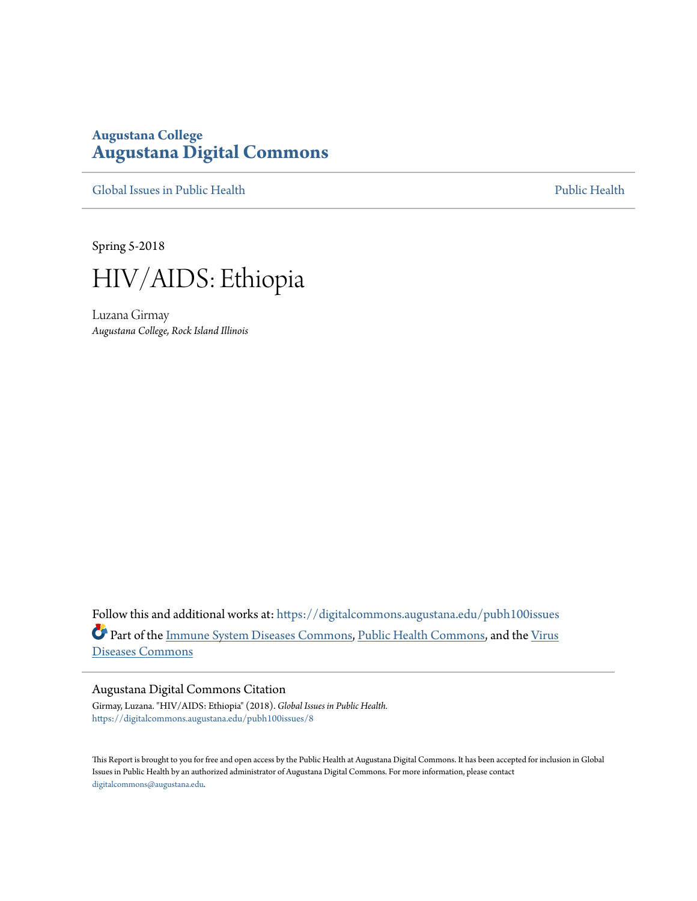# **Augustana College [Augustana Digital Commons](https://digitalcommons.augustana.edu?utm_source=digitalcommons.augustana.edu%2Fpubh100issues%2F8&utm_medium=PDF&utm_campaign=PDFCoverPages)**

[Global Issues in Public Health](https://digitalcommons.augustana.edu/pubh100issues?utm_source=digitalcommons.augustana.edu%2Fpubh100issues%2F8&utm_medium=PDF&utm_campaign=PDFCoverPages) [Public Health](https://digitalcommons.augustana.edu/publichealth?utm_source=digitalcommons.augustana.edu%2Fpubh100issues%2F8&utm_medium=PDF&utm_campaign=PDFCoverPages) Public Health Public Health Public Health

Spring 5-2018



Luzana Girmay *Augustana College, Rock Island Illinois*

Follow this and additional works at: [https://digitalcommons.augustana.edu/pubh100issues](https://digitalcommons.augustana.edu/pubh100issues?utm_source=digitalcommons.augustana.edu%2Fpubh100issues%2F8&utm_medium=PDF&utm_campaign=PDFCoverPages) Part of the [Immune System Diseases Commons,](http://network.bepress.com/hgg/discipline/933?utm_source=digitalcommons.augustana.edu%2Fpubh100issues%2F8&utm_medium=PDF&utm_campaign=PDFCoverPages) [Public Health Commons](http://network.bepress.com/hgg/discipline/738?utm_source=digitalcommons.augustana.edu%2Fpubh100issues%2F8&utm_medium=PDF&utm_campaign=PDFCoverPages), and the [Virus](http://network.bepress.com/hgg/discipline/998?utm_source=digitalcommons.augustana.edu%2Fpubh100issues%2F8&utm_medium=PDF&utm_campaign=PDFCoverPages) [Diseases Commons](http://network.bepress.com/hgg/discipline/998?utm_source=digitalcommons.augustana.edu%2Fpubh100issues%2F8&utm_medium=PDF&utm_campaign=PDFCoverPages)

#### Augustana Digital Commons Citation

Girmay, Luzana. "HIV/AIDS: Ethiopia" (2018). *Global Issues in Public Health.* [https://digitalcommons.augustana.edu/pubh100issues/8](https://digitalcommons.augustana.edu/pubh100issues/8?utm_source=digitalcommons.augustana.edu%2Fpubh100issues%2F8&utm_medium=PDF&utm_campaign=PDFCoverPages)

This Report is brought to you for free and open access by the Public Health at Augustana Digital Commons. It has been accepted for inclusion in Global Issues in Public Health by an authorized administrator of Augustana Digital Commons. For more information, please contact [digitalcommons@augustana.edu.](mailto:digitalcommons@augustana.edu)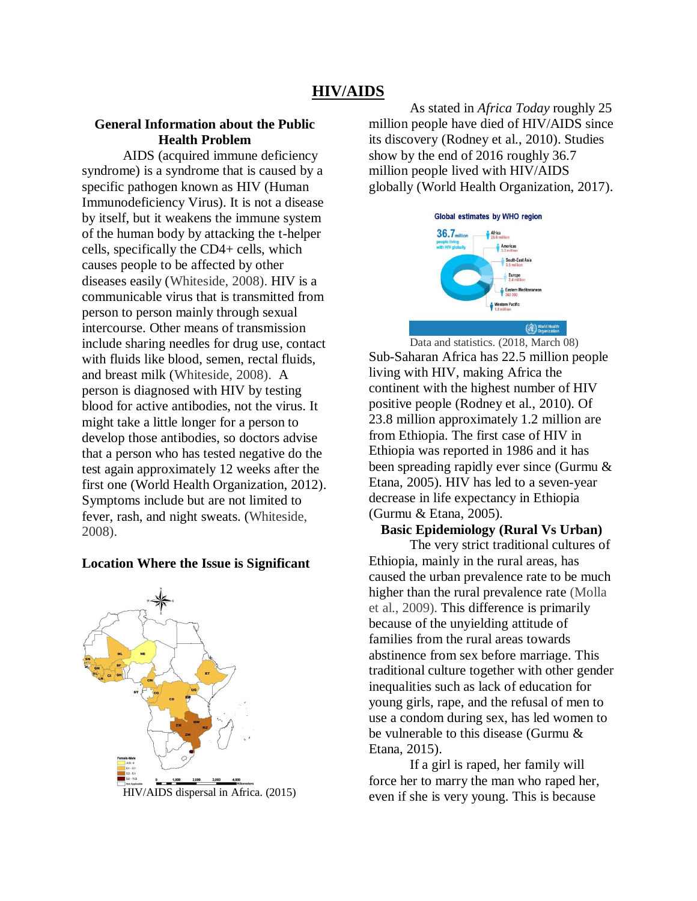# **HIV/AIDS**

# **General Information about the Public Health Problem**

AIDS (acquired immune deficiency syndrome) is a syndrome that is caused by a specific pathogen known as HIV (Human Immunodeficiency Virus). It is not a disease by itself, but it weakens the immune system of the human body by attacking the t-helper cells, specifically the CD4+ cells, which causes people to be affected by other diseases easily (Whiteside, 2008). HIV is a communicable virus that is transmitted from person to person mainly through sexual intercourse. Other means of transmission include sharing needles for drug use, contact with fluids like blood, semen, rectal fluids, and breast milk (Whiteside, 2008). A person is diagnosed with HIV by testing blood for active antibodies, not the virus. It might take a little longer for a person to develop those antibodies, so doctors advise that a person who has tested negative do the test again approximately 12 weeks after the first one (World Health Organization, 2012). Symptoms include but are not limited to fever, rash, and night sweats. (Whiteside, 2008).

### **Location Where the Issue is Significant**



HIV/AIDS dispersal in Africa. (2015)

As stated in *Africa Today* roughly 25 million people have died of HIV/AIDS since its discovery (Rodney et al., 2010). Studies show by the end of 2016 roughly 36.7 million people lived with HIV/AIDS globally (World Health Organization, 2017).



Data and statistics. (2018, March 08) Sub-Saharan Africa has 22.5 million people living with HIV, making Africa the continent with the highest number of HIV positive people (Rodney et al., 2010). Of 23.8 million approximately 1.2 million are from Ethiopia. The first case of HIV in Ethiopia was reported in 1986 and it has been spreading rapidly ever since (Gurmu & Etana, 2005). HIV has led to a seven-year decrease in life expectancy in Ethiopia (Gurmu & Etana, 2005).

#### **Basic Epidemiology (Rural Vs Urban)**

The very strict traditional cultures of Ethiopia, mainly in the rural areas, has caused the urban prevalence rate to be much higher than the rural prevalence rate (Molla et al., 2009). This difference is primarily because of the unyielding attitude of families from the rural areas towards abstinence from sex before marriage. This traditional culture together with other gender inequalities such as lack of education for young girls, rape, and the refusal of men to use a condom during sex, has led women to be vulnerable to this disease (Gurmu & Etana, 2015).

If a girl is raped, her family will force her to marry the man who raped her, even if she is very young. This is because